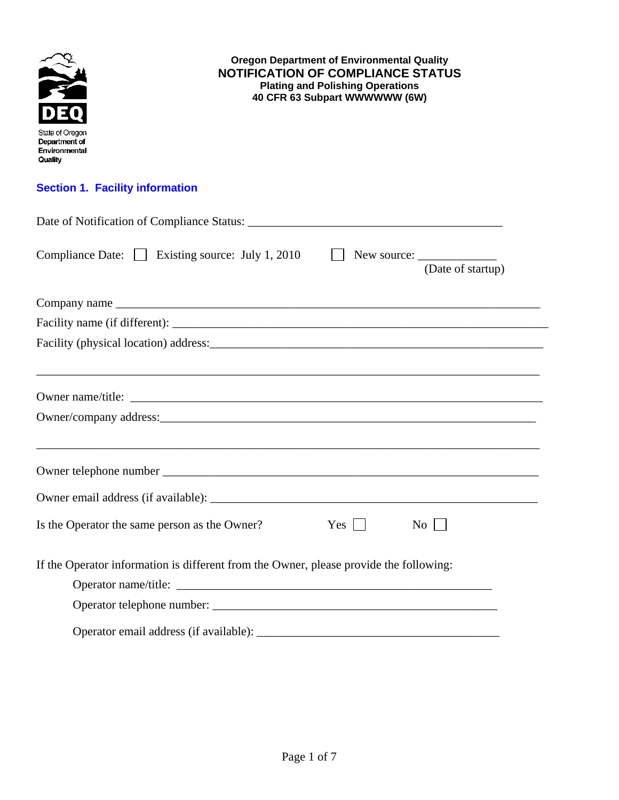

Operator email address (if available): \_\_\_\_\_\_\_\_\_\_\_\_\_\_\_\_\_\_\_\_\_\_\_\_\_\_\_\_\_\_\_\_\_\_\_\_\_\_\_\_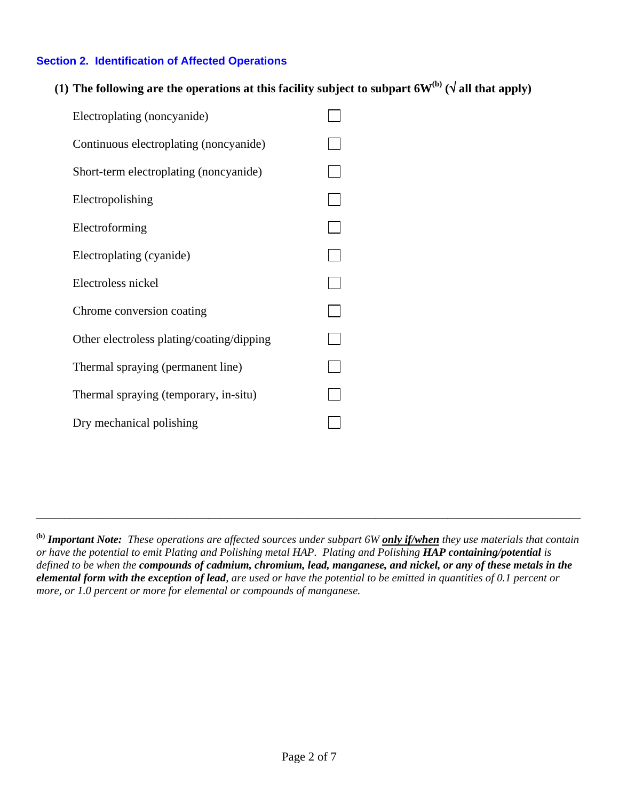## **Section 2. Identification of Affected Operations**

(1) The following are the operations at this facility subject to subpart  $6W^{(b)}(\sqrt{a}$ ll that apply)

| Electroplating (noncyanide)               |  |
|-------------------------------------------|--|
| Continuous electroplating (noncyanide)    |  |
| Short-term electroplating (noncyanide)    |  |
| Electropolishing                          |  |
| Electroforming                            |  |
| Electroplating (cyanide)                  |  |
| Electroless nickel                        |  |
| Chrome conversion coating                 |  |
| Other electroless plating/coating/dipping |  |
| Thermal spraying (permanent line)         |  |
| Thermal spraying (temporary, in-situ)     |  |
| Dry mechanical polishing                  |  |

\_\_\_\_\_\_\_\_\_\_\_\_\_\_\_\_\_\_\_\_\_\_\_\_\_\_\_\_\_\_\_\_\_\_\_\_\_\_\_\_\_\_\_\_\_\_\_\_\_\_\_\_\_\_\_\_\_\_\_\_\_\_\_\_\_\_\_\_\_\_\_\_\_\_\_\_\_\_\_\_\_\_\_\_\_\_\_\_\_\_\_\_\_\_\_\_\_\_

**<sup>(</sup>b)** *Important Note: These operations are affected sources under subpart 6W only if/when they use materials that contain or have the potential to emit Plating and Polishing metal HAP. Plating and Polishing HAP containing/potential is defined to be when the compounds of cadmium, chromium, lead, manganese, and nickel, or any of these metals in the elemental form with the exception of lead, are used or have the potential to be emitted in quantities of 0.1 percent or more, or 1.0 percent or more for elemental or compounds of manganese.*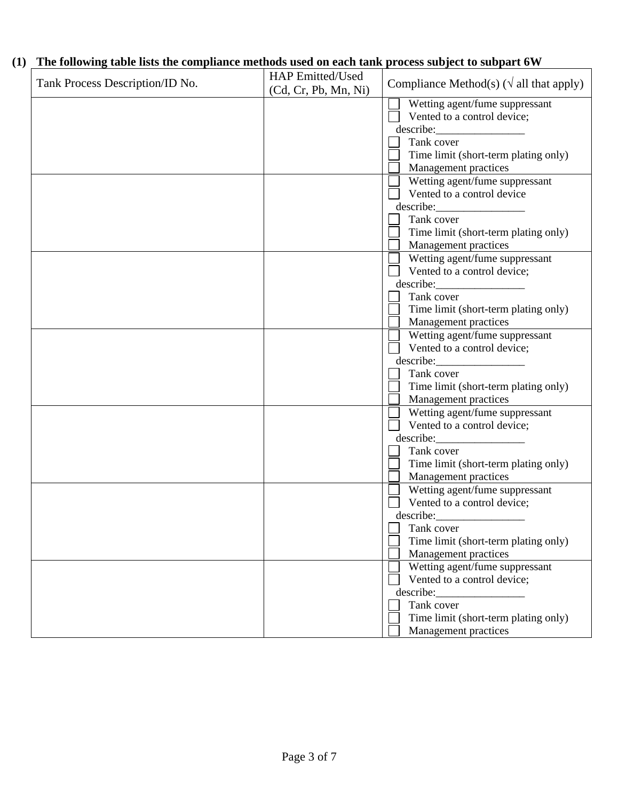## **(1) The following table lists the compliance methods used on each tank process subject to subpart 6W**

| Tank Process Description/ID No. | HAP Emitted/Used<br>(Cd, Cr, Pb, Mn, Ni) | Compliance Method(s) ( $\sqrt{ }$ all that apply) |
|---------------------------------|------------------------------------------|---------------------------------------------------|
|                                 |                                          | Wetting agent/fume suppressant                    |
|                                 |                                          | Vented to a control device;                       |
|                                 |                                          |                                                   |
|                                 |                                          | Tank cover                                        |
|                                 |                                          | Time limit (short-term plating only)              |
|                                 |                                          | Management practices                              |
|                                 |                                          | Wetting agent/fume suppressant                    |
|                                 |                                          | Vented to a control device                        |
|                                 |                                          |                                                   |
|                                 |                                          | Tank cover                                        |
|                                 |                                          | Time limit (short-term plating only)              |
|                                 |                                          | Management practices                              |
|                                 |                                          | Wetting agent/fume suppressant                    |
|                                 |                                          | Vented to a control device;                       |
|                                 |                                          | describe:                                         |
|                                 |                                          | Tank cover                                        |
|                                 |                                          | Time limit (short-term plating only)              |
|                                 |                                          | Management practices                              |
|                                 |                                          | Wetting agent/fume suppressant                    |
|                                 |                                          | Vented to a control device;                       |
|                                 |                                          |                                                   |
|                                 |                                          | Tank cover                                        |
|                                 |                                          | Time limit (short-term plating only)              |
|                                 |                                          | Management practices                              |
|                                 |                                          | Wetting agent/fume suppressant                    |
|                                 |                                          | Vented to a control device;                       |
|                                 |                                          |                                                   |
|                                 |                                          | Tank cover                                        |
|                                 |                                          | Time limit (short-term plating only)              |
|                                 |                                          | Management practices                              |
|                                 |                                          | Wetting agent/fume suppressant                    |
|                                 |                                          | Vented to a control device;                       |
|                                 |                                          | describe:                                         |
|                                 |                                          | Tank cover                                        |
|                                 |                                          | Time limit (short-term plating only)              |
|                                 |                                          | Management practices                              |
|                                 |                                          | Wetting agent/fume suppressant                    |
|                                 |                                          | Vented to a control device;                       |
|                                 |                                          | describe:                                         |
|                                 |                                          | Tank cover                                        |
|                                 |                                          | Time limit (short-term plating only)              |
|                                 |                                          | Management practices                              |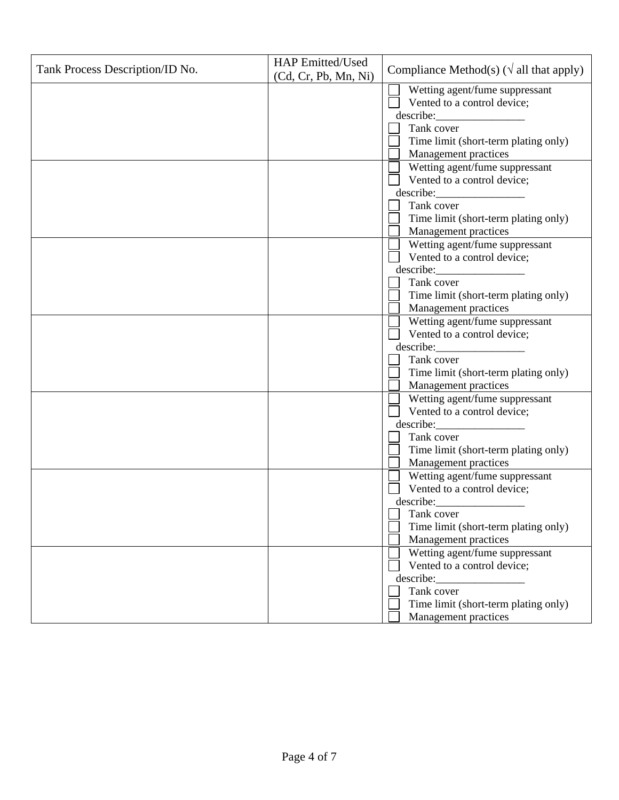|                                 | <b>HAP</b> Emitted/Used |                                                        |
|---------------------------------|-------------------------|--------------------------------------------------------|
| Tank Process Description/ID No. | (Cd, Cr, Pb, Mn, Ni)    | Compliance Method(s) ( $\sqrt{ }$ all that apply)      |
|                                 |                         | Wetting agent/fume suppressant                         |
|                                 |                         | Vented to a control device;                            |
|                                 |                         | describe:                                              |
|                                 |                         | Tank cover                                             |
|                                 |                         | Time limit (short-term plating only)                   |
|                                 |                         | Management practices                                   |
|                                 |                         | Wetting agent/fume suppressant                         |
|                                 |                         | Vented to a control device;                            |
|                                 |                         | describe:                                              |
|                                 |                         | Tank cover                                             |
|                                 |                         | Time limit (short-term plating only)                   |
|                                 |                         | Management practices                                   |
|                                 |                         | Wetting agent/fume suppressant                         |
|                                 |                         | Vented to a control device;                            |
|                                 |                         | describe:                                              |
|                                 |                         | Tank cover                                             |
|                                 |                         | Time limit (short-term plating only)                   |
|                                 |                         | Management practices                                   |
|                                 |                         | Wetting agent/fume suppressant                         |
|                                 |                         | Vented to a control device;                            |
|                                 |                         | describe:                                              |
|                                 |                         | Tank cover                                             |
|                                 |                         | Time limit (short-term plating only)                   |
|                                 |                         | Management practices<br>Wetting agent/fume suppressant |
|                                 |                         | Vented to a control device;                            |
|                                 |                         | describe:                                              |
|                                 |                         | Tank cover                                             |
|                                 |                         | Time limit (short-term plating only)                   |
|                                 |                         | Management practices                                   |
|                                 |                         | Wetting agent/fume suppressant                         |
|                                 |                         | Vented to a control device;                            |
|                                 |                         | describe:                                              |
|                                 |                         | Tank cover                                             |
|                                 |                         | Time limit (short-term plating only)                   |
|                                 |                         | Management practices                                   |
|                                 |                         | Wetting agent/fume suppressant                         |
|                                 |                         | Vented to a control device;                            |
|                                 |                         |                                                        |
|                                 |                         | Tank cover                                             |
|                                 |                         | Time limit (short-term plating only)                   |
|                                 |                         | Management practices                                   |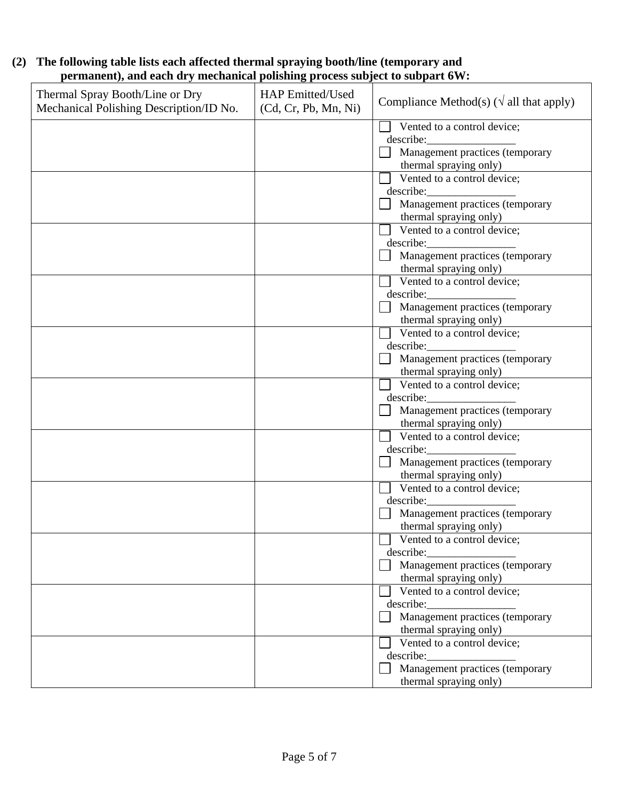|                                                                              | (2) The following table lists each affected thermal spraying booth/line (temporary and |  |  |  |  |
|------------------------------------------------------------------------------|----------------------------------------------------------------------------------------|--|--|--|--|
| permanent), and each dry mechanical polishing process subject to subpart 6W: |                                                                                        |  |  |  |  |

| Thermal Spray Booth/Line or Dry<br>Mechanical Polishing Description/ID No. | <b>HAP Emitted/Used</b><br>(Cd, Cr, Pb, Mn, Ni) | Compliance Method(s) ( $\sqrt{ }$ all that apply) |
|----------------------------------------------------------------------------|-------------------------------------------------|---------------------------------------------------|
|                                                                            |                                                 | Vented to a control device;                       |
|                                                                            |                                                 | describe:                                         |
|                                                                            |                                                 | Management practices (temporary                   |
|                                                                            |                                                 | thermal spraying only)                            |
|                                                                            |                                                 | Vented to a control device;                       |
|                                                                            |                                                 |                                                   |
|                                                                            |                                                 | Management practices (temporary                   |
|                                                                            |                                                 | thermal spraying only)                            |
|                                                                            |                                                 | Vented to a control device;                       |
|                                                                            |                                                 | describe:                                         |
|                                                                            |                                                 | Management practices (temporary                   |
|                                                                            |                                                 | thermal spraying only)                            |
|                                                                            |                                                 | Vented to a control device;                       |
|                                                                            |                                                 |                                                   |
|                                                                            |                                                 | Management practices (temporary                   |
|                                                                            |                                                 | thermal spraying only)                            |
|                                                                            |                                                 | Vented to a control device;                       |
|                                                                            |                                                 |                                                   |
|                                                                            |                                                 | Management practices (temporary                   |
|                                                                            |                                                 | thermal spraying only)                            |
|                                                                            |                                                 | Vented to a control device;                       |
|                                                                            |                                                 | describe:                                         |
|                                                                            |                                                 | Management practices (temporary                   |
|                                                                            |                                                 | thermal spraying only)                            |
|                                                                            |                                                 | Vented to a control device;                       |
|                                                                            |                                                 | describe:                                         |
|                                                                            |                                                 | Management practices (temporary                   |
|                                                                            |                                                 | thermal spraying only)                            |
|                                                                            |                                                 | Vented to a control device;                       |
|                                                                            |                                                 | describe:                                         |
|                                                                            |                                                 | Management practices (temporary                   |
|                                                                            |                                                 | thermal spraying only)                            |
|                                                                            |                                                 | $\sqrt{\phantom{a}}$ Vented to a control device;  |
|                                                                            |                                                 | describe:                                         |
|                                                                            |                                                 | Management practices (temporary                   |
|                                                                            |                                                 | thermal spraying only)                            |
|                                                                            |                                                 | Vented to a control device;                       |
|                                                                            |                                                 |                                                   |
|                                                                            |                                                 | Management practices (temporary                   |
|                                                                            |                                                 | thermal spraying only)                            |
|                                                                            |                                                 | Vented to a control device;                       |
|                                                                            |                                                 |                                                   |
|                                                                            |                                                 | Management practices (temporary                   |
|                                                                            |                                                 | thermal spraying only)                            |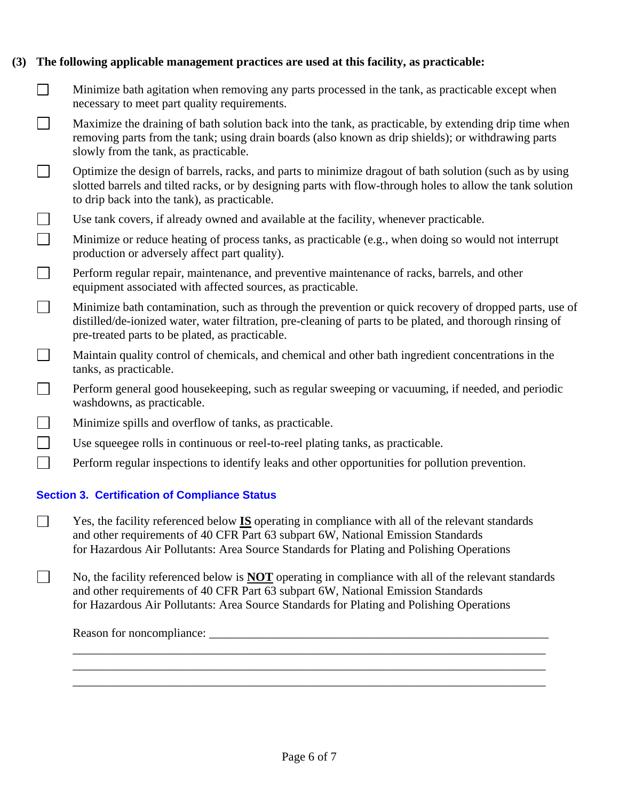## **(3) The following applicable management practices are used at this facility, as practicable:**

- $\Box$ Minimize bath agitation when removing any parts processed in the tank, as practicable except when necessary to meet part quality requirements.
- $\Box$ Maximize the draining of bath solution back into the tank, as practicable, by extending drip time when removing parts from the tank; using drain boards (also known as drip shields); or withdrawing parts slowly from the tank, as practicable.
- $\mathbf{L}$ Optimize the design of barrels, racks, and parts to minimize dragout of bath solution (such as by using slotted barrels and tilted racks, or by designing parts with flow-through holes to allow the tank solution to drip back into the tank), as practicable.
- $\perp$ Use tank covers, if already owned and available at the facility, whenever practicable.
- $\Box$ Minimize or reduce heating of process tanks, as practicable (e.g., when doing so would not interrupt production or adversely affect part quality).
- $\Box$ Perform regular repair, maintenance, and preventive maintenance of racks, barrels, and other equipment associated with affected sources, as practicable.
- $\Box$ Minimize bath contamination, such as through the prevention or quick recovery of dropped parts, use of distilled/de-ionized water, water filtration, pre-cleaning of parts to be plated, and thorough rinsing of pre-treated parts to be plated, as practicable.
- $\Box$ Maintain quality control of chemicals, and chemical and other bath ingredient concentrations in the tanks, as practicable.
- $\Box$ Perform general good housekeeping, such as regular sweeping or vacuuming, if needed, and periodic washdowns, as practicable.
- $\Box$ Minimize spills and overflow of tanks, as practicable.
- $\Box$ Use squeegee rolls in continuous or reel-to-reel plating tanks, as practicable.
- $\Box$ Perform regular inspections to identify leaks and other opportunities for pollution prevention.

## **Section 3. Certification of Compliance Status**

- Yes, the facility referenced below **IS** operating in compliance with all of the relevant standards and other requirements of 40 CFR Part 63 subpart 6W, National Emission Standards for Hazardous Air Pollutants: Area Source Standards for Plating and Polishing Operations
- No, the facility referenced below is **NOT** operating in compliance with all of the relevant standards and other requirements of 40 CFR Part 63 subpart 6W, National Emission Standards for Hazardous Air Pollutants: Area Source Standards for Plating and Polishing Operations

\_\_\_\_\_\_\_\_\_\_\_\_\_\_\_\_\_\_\_\_\_\_\_\_\_\_\_\_\_\_\_\_\_\_\_\_\_\_\_\_\_\_\_\_\_\_\_\_\_\_\_\_\_\_\_\_\_\_\_\_\_\_\_\_\_\_\_\_\_\_\_\_\_\_\_\_\_\_ \_\_\_\_\_\_\_\_\_\_\_\_\_\_\_\_\_\_\_\_\_\_\_\_\_\_\_\_\_\_\_\_\_\_\_\_\_\_\_\_\_\_\_\_\_\_\_\_\_\_\_\_\_\_\_\_\_\_\_\_\_\_\_\_\_\_\_\_\_\_\_\_\_\_\_\_\_\_ \_\_\_\_\_\_\_\_\_\_\_\_\_\_\_\_\_\_\_\_\_\_\_\_\_\_\_\_\_\_\_\_\_\_\_\_\_\_\_\_\_\_\_\_\_\_\_\_\_\_\_\_\_\_\_\_\_\_\_\_\_\_\_\_\_\_\_\_\_\_\_\_\_\_\_\_\_\_

Reason for noncompliance: \_\_\_\_\_\_\_\_\_\_\_\_\_\_\_\_\_\_\_\_\_\_\_\_\_\_\_\_\_\_\_\_\_\_\_\_\_\_\_\_\_\_\_\_\_\_\_\_\_\_\_\_\_\_\_\_